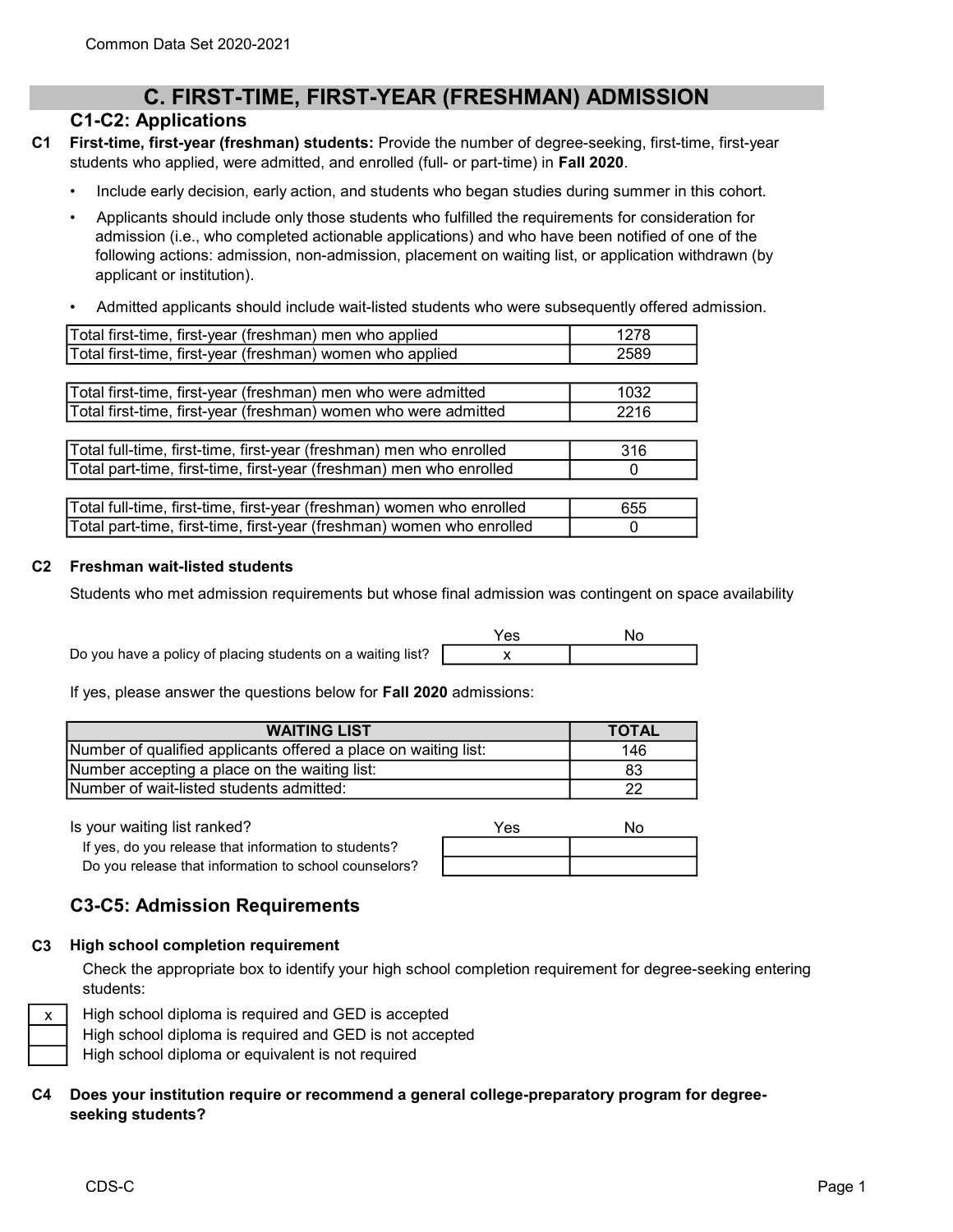## C. FIRST-TIME, FIRST-YEAR (FRESHMAN) ADMISSION

## C1-C2: Applications

- C1 First-time, first-year (freshman) students: Provide the number of degree-seeking, first-time, first-year students who applied, were admitted, and enrolled (full- or part-time) in Fall 2020.
	- Include early decision, early action, and students who began studies during summer in this cohort.
	- Applicants should include only those students who fulfilled the requirements for consideration for admission (i.e., who completed actionable applications) and who have been notified of one of the following actions: admission, non-admission, placement on waiting list, or application withdrawn (by applicant or institution).
	- Admitted applicants should include wait-listed students who were subsequently offered admission.

| Total first-time, first-year (freshman) men who applied   |      |
|-----------------------------------------------------------|------|
| Total first-time, first-year (freshman) women who applied | 2589 |

| Total first-time, first-year (freshman) men who were admitted   | 1032 |
|-----------------------------------------------------------------|------|
| Total first-time, first-year (freshman) women who were admitted | 2216 |
|                                                                 |      |

316  $\Omega$ Total full-time, first-time, first-year (freshman) men who enrolled Total part-time, first-time, first-year (freshman) men who enrolled

| Total full-time, first-time, first-year (freshman) women who enrolled | 655 |
|-----------------------------------------------------------------------|-----|
| Total part-time, first-time, first-year (freshman) women who enrolled |     |

#### $C2$ Freshman wait-listed students

Students who met admission requirements but whose final admission was contingent on space availability

Yes No x Do you have a policy of placing students on a waiting list?

If yes, please answer the questions below for Fall 2020 admissions:

| <b>WAITING LIST</b>                                             | <b>TOTAL</b> |
|-----------------------------------------------------------------|--------------|
| Number of qualified applicants offered a place on waiting list: | 146          |
| Number accepting a place on the waiting list:                   |              |
| Number of wait-listed students admitted:                        |              |

Is your waiting list ranked?

If yes, do you release that information to students? Do you release that information to school counselor

|    | Yes | No |
|----|-----|----|
|    |     |    |
| ٬s |     |    |

## C3-C5: Admission Requirements

## C3 High school completion requirement

Check the appropriate box to identify your high school completion requirement for degree-seeking entering students:



High school diploma is required and GED is accepted

High school diploma is required and GED is not accepted

High school diploma or equivalent is not required

## C4 Does your institution require or recommend a general college-preparatory program for degreeseeking students?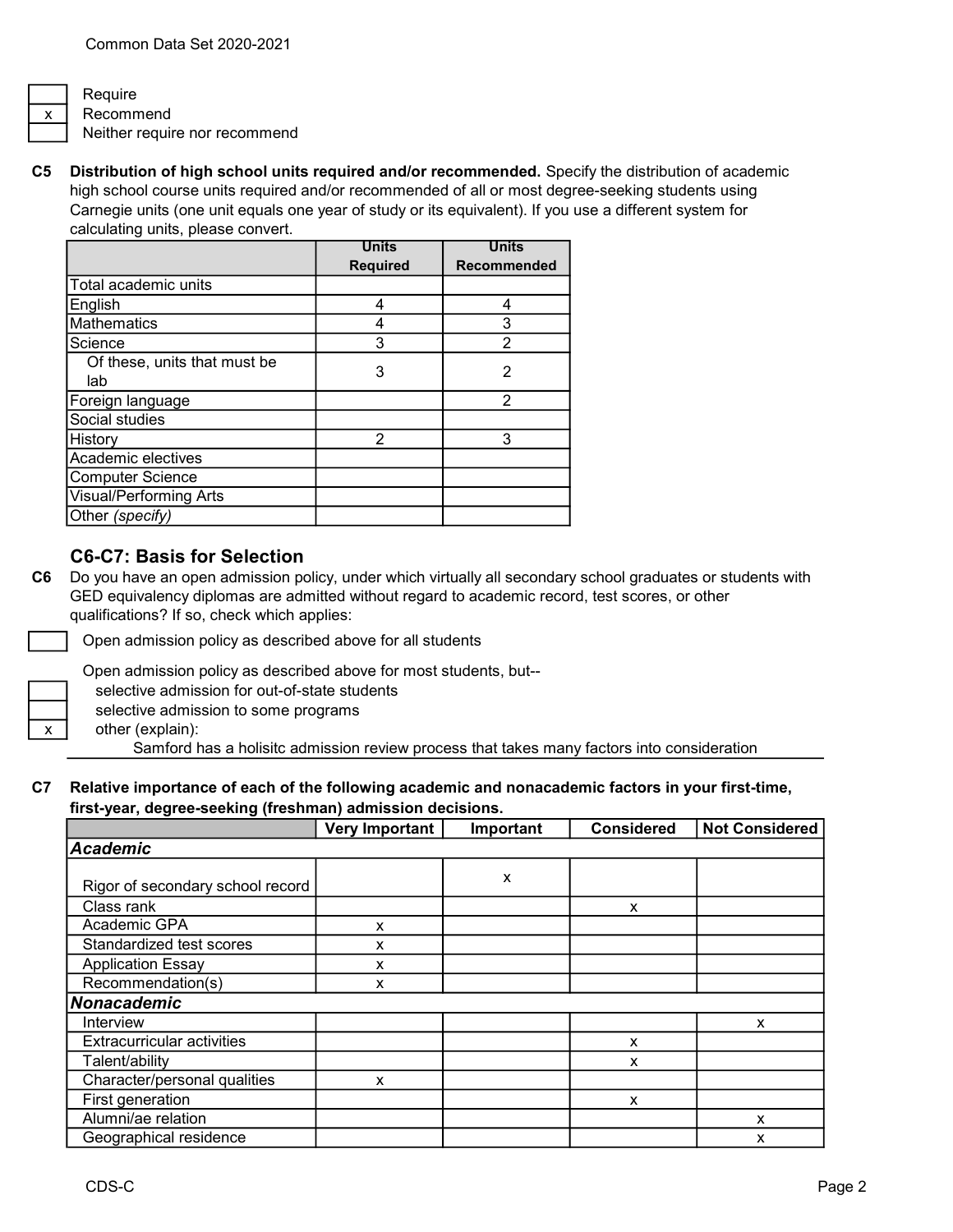x Require Recommend

Neither require nor recommend

C5 Distribution of high school units required and/or recommended. Specify the distribution of academic high school course units required and/or recommended of all or most degree-seeking students using Carnegie units (one unit equals one year of study or its equivalent). If you use a different system for calculating units, please convert.

|                               | <b>Units</b>    | <b>Units</b>       |  |
|-------------------------------|-----------------|--------------------|--|
|                               | <b>Required</b> | <b>Recommended</b> |  |
| Total academic units          |                 |                    |  |
| English                       | 4               | 4                  |  |
| <b>Mathematics</b>            |                 | 3                  |  |
| Science                       | 3               | 2                  |  |
| Of these, units that must be  | 3               | 2                  |  |
| lab                           |                 |                    |  |
| Foreign language              |                 | 2                  |  |
| Social studies                |                 |                    |  |
| History                       | 2               | 3                  |  |
| Academic electives            |                 |                    |  |
| <b>Computer Science</b>       |                 |                    |  |
| <b>Visual/Performing Arts</b> |                 |                    |  |
| Other (specify)               |                 |                    |  |

## C6-C7: Basis for Selection

C6 Do you have an open admission policy, under which virtually all secondary school graduates or students with GED equivalency diplomas are admitted without regard to academic record, test scores, or other qualifications? If so, check which applies:

Open admission policy as described above for all students

Open admission policy as described above for most students, but--

- selective admission for out-of-state students
- selective admission to some programs

 $x \mid$  other (explain):

Samford has a holisitc admission review process that takes many factors into consideration

#### C7 Relative importance of each of the following academic and nonacademic factors in your first-time, first-year, degree-seeking (freshman) admission decisions.

|                                   | <b>Very Important</b> | Important | <b>Considered</b> | <b>Not Considered</b> |  |
|-----------------------------------|-----------------------|-----------|-------------------|-----------------------|--|
| <b>Academic</b>                   |                       |           |                   |                       |  |
|                                   |                       | X         |                   |                       |  |
| Rigor of secondary school record  |                       |           |                   |                       |  |
| Class rank                        |                       |           | X                 |                       |  |
| Academic GPA                      | X                     |           |                   |                       |  |
| Standardized test scores          | X                     |           |                   |                       |  |
| <b>Application Essay</b>          | x                     |           |                   |                       |  |
| Recommendation(s)                 | X                     |           |                   |                       |  |
| Nonacademic                       |                       |           |                   |                       |  |
| Interview                         |                       |           |                   | X                     |  |
| <b>Extracurricular activities</b> |                       |           | X                 |                       |  |
| Talent/ability                    |                       |           | х                 |                       |  |
| Character/personal qualities      | x                     |           |                   |                       |  |
| First generation                  |                       |           | X                 |                       |  |
| Alumni/ae relation                |                       |           |                   | x                     |  |
| Geographical residence            |                       |           |                   | x                     |  |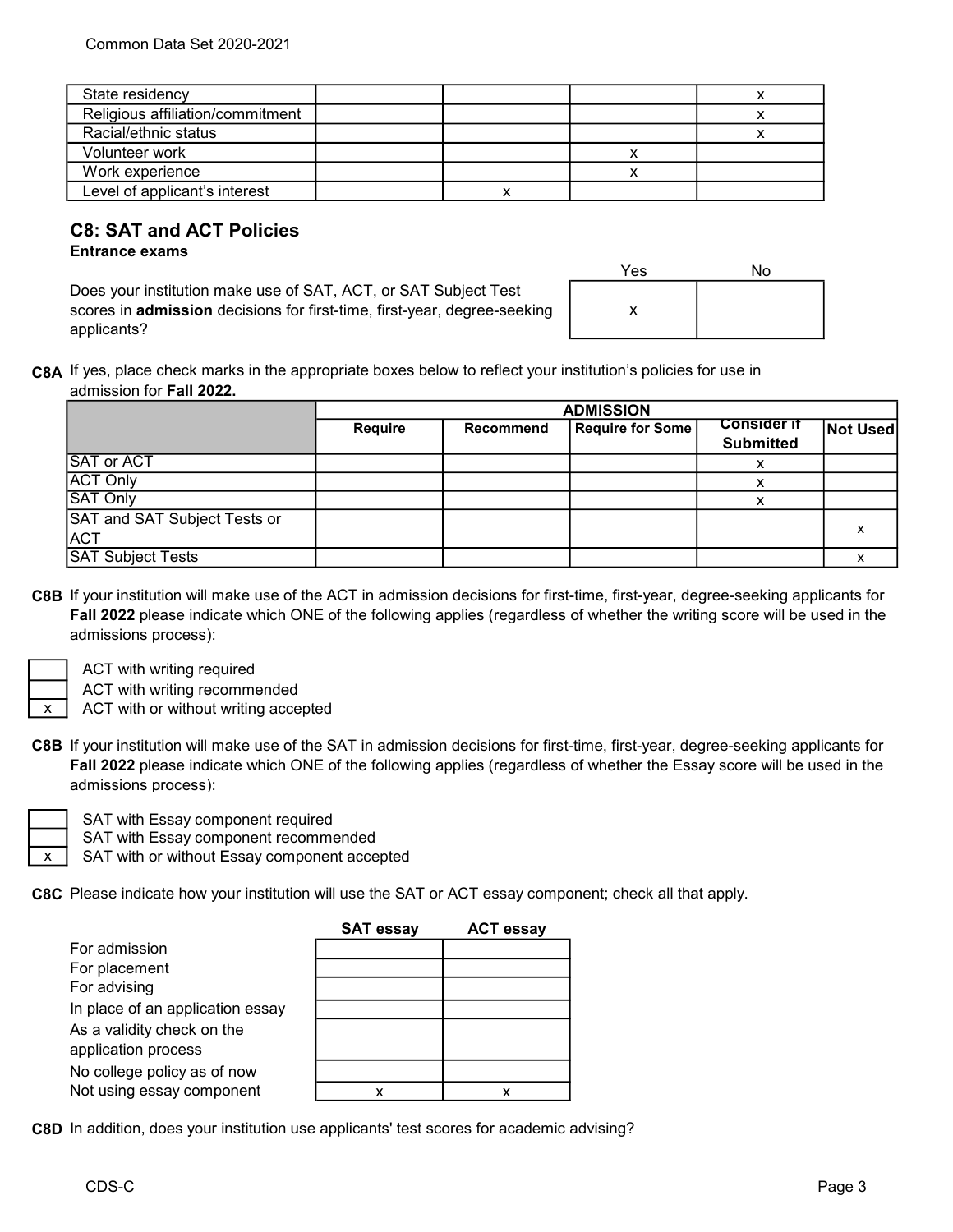| State residency                  |  |  |
|----------------------------------|--|--|
| Religious affiliation/commitment |  |  |
| Racial/ethnic status             |  |  |
| Volunteer work                   |  |  |
| Work experience                  |  |  |
| Level of applicant's interest    |  |  |

# C8: SAT and ACT Policies

#### Entrance exams

Does your institution make use of SAT, ACT, or SAT Subject Test scores in admission decisions for first-time, first-year, degree-seeking applicants?

| Yes | No |
|-----|----|
|     |    |

C8A If yes, place check marks in the appropriate boxes below to reflect your institution's policies for use in admission for Fall 2022.

|                              | <b>ADMISSION</b> |           |                         |                                        |          |
|------------------------------|------------------|-----------|-------------------------|----------------------------------------|----------|
|                              | <b>Require</b>   | Recommend | <b>Require for Some</b> | <b>Consider if</b><br><b>Submitted</b> | Not Used |
| <b>SAT or ACT</b>            |                  |           |                         | х                                      |          |
| <b>ACT Only</b>              |                  |           |                         |                                        |          |
| <b>SAT Only</b>              |                  |           |                         |                                        |          |
| SAT and SAT Subject Tests or |                  |           |                         |                                        |          |
| <b>ACT</b>                   |                  |           |                         |                                        |          |
| <b>SAT Subject Tests</b>     |                  |           |                         |                                        |          |

C8B If your institution will make use of the ACT in admission decisions for first-time, first-year, degree-seeking applicants for Fall 2022 please indicate which ONE of the following applies (regardless of whether the writing score will be used in the admissions process):



ACT with writing required

ACT with writing recommended

ACT with or without writing accepted

C8B If your institution will make use of the SAT in admission decisions for first-time, first-year, degree-seeking applicants for Fall 2022 please indicate which ONE of the following applies (regardless of whether the Essay score will be used in the admissions process):



SAT with Essay component required

SAT with Essay component recommended

SAT with or without Essay component accepted

C8C Please indicate how your institution will use the SAT or ACT essay component; check all that apply.

|                                  | <b>SAT essay</b> | <b>ACT essay</b> |
|----------------------------------|------------------|------------------|
| For admission                    |                  |                  |
| For placement                    |                  |                  |
| For advising                     |                  |                  |
| In place of an application essay |                  |                  |
| As a validity check on the       |                  |                  |
| application process              |                  |                  |
| No college policy as of now      |                  |                  |
| Not using essay component        | x                |                  |

C8D In addition, does your institution use applicants' test scores for academic advising?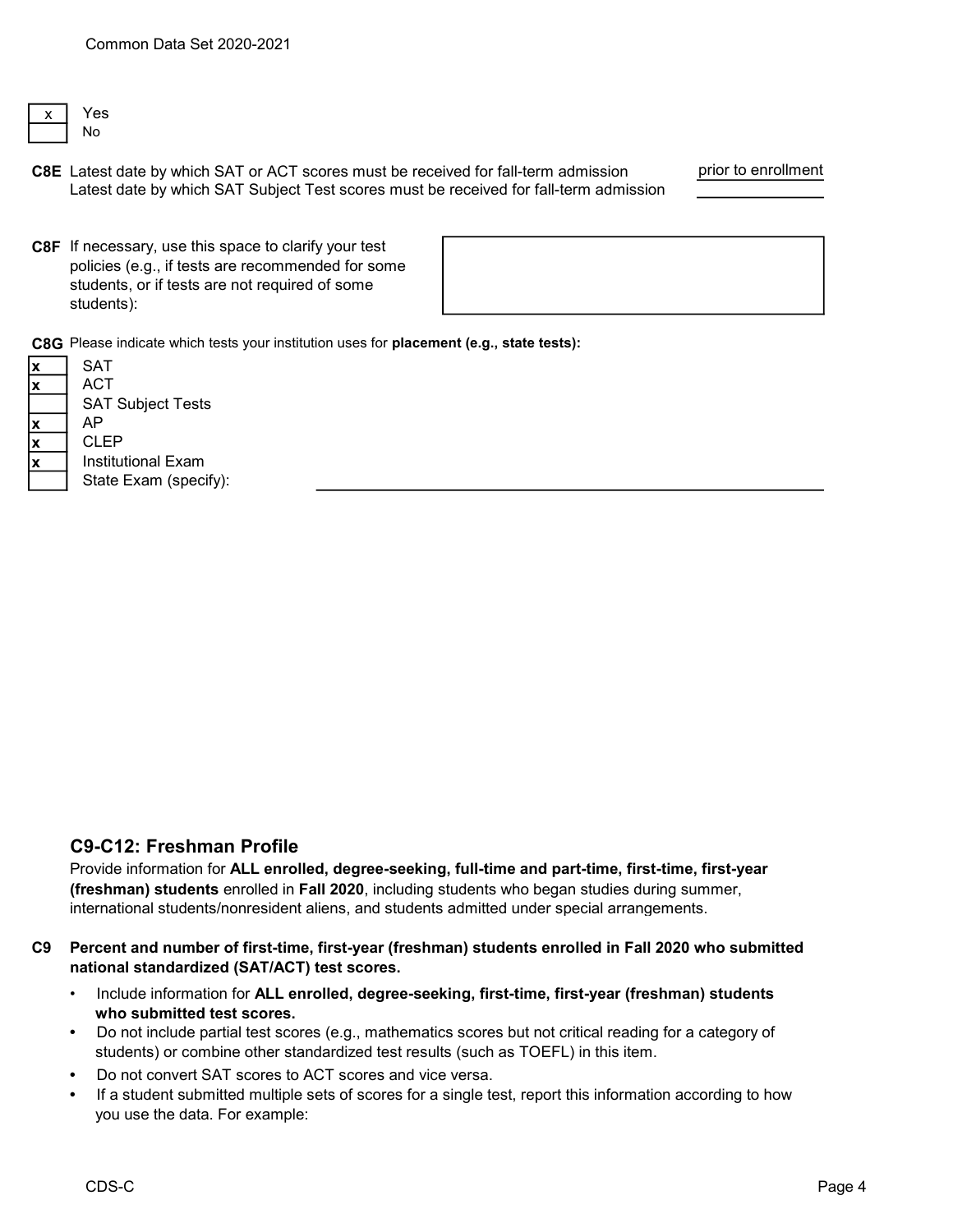- **Yes** No
- C8E Latest date by which SAT or ACT scores must be received for fall-term admission prior to enrollment Latest date by which SAT Subject Test scores must be received for fall-term admission

C8F If necessary, use this space to clarify your test policies (e.g., if tests are recommended for some students, or if tests are not required of some students):

C8G Please indicate which tests your institution uses for placement (e.g., state tests):

| х | SAT                      |
|---|--------------------------|
| X | ACT                      |
|   | <b>SAT Subject Tests</b> |
| х | АP                       |
| X | CLEP                     |
| X | Institutional Exam       |
|   | State Exam (specify):    |
|   |                          |

## C9-C12: Freshman Profile

Provide information for ALL enrolled, degree-seeking, full-time and part-time, first-time, first-year (freshman) students enrolled in Fall 2020, including students who began studies during summer, international students/nonresident aliens, and students admitted under special arrangements.

## C9 Percent and number of first-time, first-year (freshman) students enrolled in Fall 2020 who submitted national standardized (SAT/ACT) test scores.

- Include information for ALL enrolled, degree-seeking, first-time, first-year (freshman) students who submitted test scores.
- Do not include partial test scores (e.g., mathematics scores but not critical reading for a category of students) or combine other standardized test results (such as TOEFL) in this item.
- Do not convert SAT scores to ACT scores and vice versa.
- If a student submitted multiple sets of scores for a single test, report this information according to how you use the data. For example: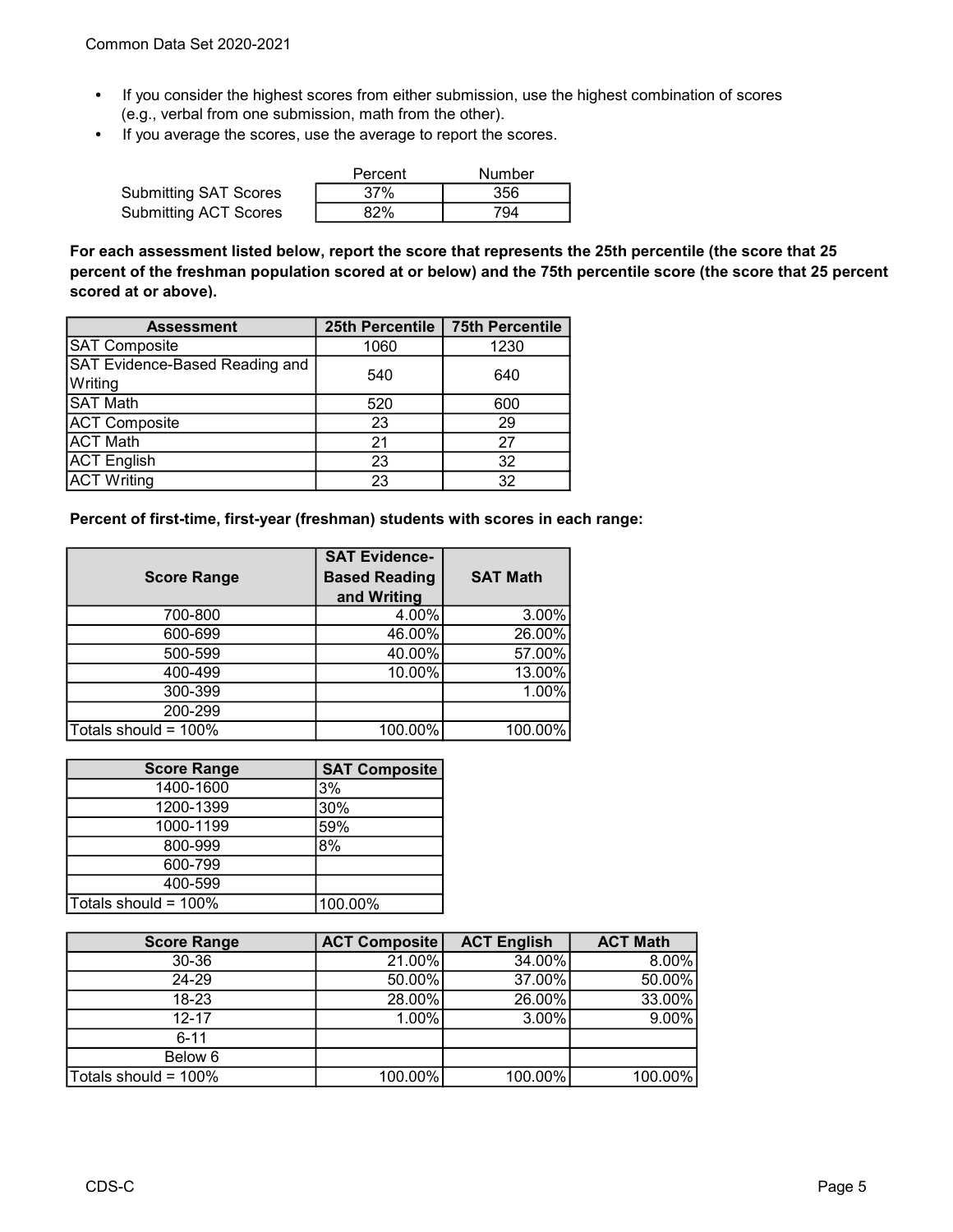- If you consider the highest scores from either submission, use the highest combination of scores (e.g., verbal from one submission, math from the other).
- If you average the scores, use the average to report the scores.

|                              | Percent | Number |
|------------------------------|---------|--------|
| <b>Submitting SAT Scores</b> | 37%     | 356    |
| <b>Submitting ACT Scores</b> | 82%     | 794    |

For each assessment listed below, report the score that represents the 25th percentile (the score that 25 percent of the freshman population scored at or below) and the 75th percentile score (the score that 25 percent scored at or above).

| <b>Assessment</b>                     | <b>25th Percentile</b> | <b>75th Percentile</b> |  |
|---------------------------------------|------------------------|------------------------|--|
| <b>SAT Composite</b>                  | 1060                   | 1230                   |  |
| <b>SAT Evidence-Based Reading and</b> | 540                    |                        |  |
| Writing                               |                        | 640                    |  |
| <b>SAT Math</b>                       | 520                    | 600                    |  |
| <b>ACT Composite</b>                  | 23                     | 29                     |  |
| <b>ACT Math</b>                       | 21                     | 27                     |  |
| <b>ACT English</b>                    | 23                     | 32                     |  |
| <b>ACT Writing</b>                    | 23                     | 32                     |  |

Percent of first-time, first-year (freshman) students with scores in each range:

| <b>Score Range</b>   | <b>SAT Evidence-</b><br><b>Based Reading</b> | <b>SAT Math</b> |
|----------------------|----------------------------------------------|-----------------|
|                      | and Writing                                  |                 |
| 700-800              | 4.00%                                        | 3.00%           |
| 600-699              | 46.00%                                       | 26.00%          |
| 500-599              | 40.00%                                       | 57.00%          |
| 400-499              | 10.00%                                       | 13.00%          |
| 300-399              |                                              | 1.00%           |
| 200-299              |                                              |                 |
| Totals should = 100% | 100.00%                                      | 100.00%         |

| <b>Score Range</b>   | <b>SAT Composite</b> |
|----------------------|----------------------|
| 1400-1600            | 3%                   |
| 1200-1399            | 30%                  |
| 1000-1199            | 59%                  |
| 800-999              | 8%                   |
| 600-799              |                      |
| 400-599              |                      |
| Totals should = 100% | 100.00%              |

| <b>Score Range</b>   | <b>ACT Composite</b> | <b>ACT English</b> | <b>ACT Math</b> |
|----------------------|----------------------|--------------------|-----------------|
| 30-36                | 21.00%               | 34.00%             | 8.00%           |
| 24-29                | 50.00%               | 37.00%             | 50.00%          |
| $18 - 23$            | 28.00%               | 26.00%             | 33.00%          |
| $12 - 17$            | $1.00\%$             | $3.00\%$           | $9.00\%$        |
| $6 - 11$             |                      |                    |                 |
| Below 6              |                      |                    |                 |
| Totals should = 100% | $100.00\%$           | 100.00%            | 100.00%         |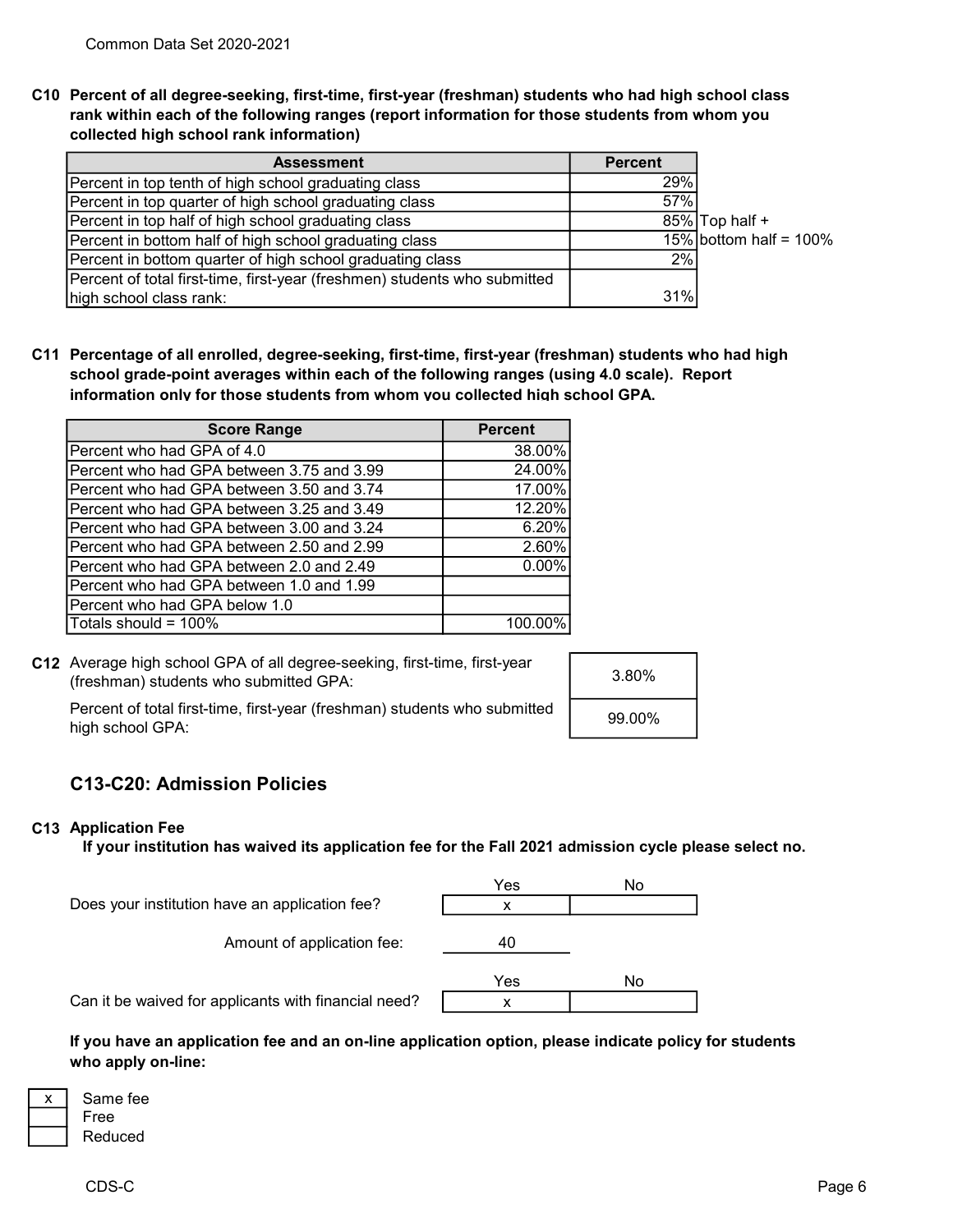C10 Percent of all degree-seeking, first-time, first-year (freshman) students who had high school class rank within each of the following ranges (report information for those students from whom you collected high school rank information)

| <b>Assessment</b>                                                         | <b>Percent</b> |                           |
|---------------------------------------------------------------------------|----------------|---------------------------|
| Percent in top tenth of high school graduating class                      | 29%            |                           |
| Percent in top quarter of high school graduating class                    | 57%            |                           |
| Percent in top half of high school graduating class                       |                | 85% Top half +            |
| Percent in bottom half of high school graduating class                    |                | $15\%$ bottom half = 100% |
| Percent in bottom quarter of high school graduating class                 | 2%             |                           |
| Percent of total first-time, first-year (freshmen) students who submitted |                |                           |
| high school class rank:                                                   | 31%            |                           |

C11 Percentage of all enrolled, degree-seeking, first-time, first-year (freshman) students who had high school grade-point averages within each of the following ranges (using 4.0 scale). Report information only for those students from whom you collected high school GPA.

| <b>Score Range</b>                        | <b>Percent</b> |
|-------------------------------------------|----------------|
| Percent who had GPA of 4.0                | 38.00%         |
| Percent who had GPA between 3.75 and 3.99 | 24.00%         |
| Percent who had GPA between 3.50 and 3.74 | 17.00%         |
| Percent who had GPA between 3.25 and 3.49 | 12.20%         |
| Percent who had GPA between 3.00 and 3.24 | 6.20%          |
| Percent who had GPA between 2.50 and 2.99 | 2.60%          |
| Percent who had GPA between 2.0 and 2.49  | 0.00%          |
| Percent who had GPA between 1.0 and 1.99  |                |
| Percent who had GPA below 1.0             |                |
| Totals should = 100%                      |                |

C12 Average high school GPA of all degree-seeking, first-time, first-year (freshman) students who submitted GPA:

|                  | Percent of total first-time, first-year (freshman) students who submitted |
|------------------|---------------------------------------------------------------------------|
| high school GPA: |                                                                           |

| 3.80%  |  |
|--------|--|
| 99.00% |  |

## C13-C20: Admission Policies

## C13 Application Fee

If your institution has waived its application fee for the Fall 2021 admission cycle please select no.

|                                                      | Yes | No |
|------------------------------------------------------|-----|----|
| Does your institution have an application fee?       |     |    |
| Amount of application fee:                           | 40  |    |
|                                                      | Yes | No |
| Can it be waived for applicants with financial need? |     |    |

If you have an application fee and an on-line application option, please indicate policy for students who apply on-line:

| Same fee |
|----------|
| Free     |
| Reduced  |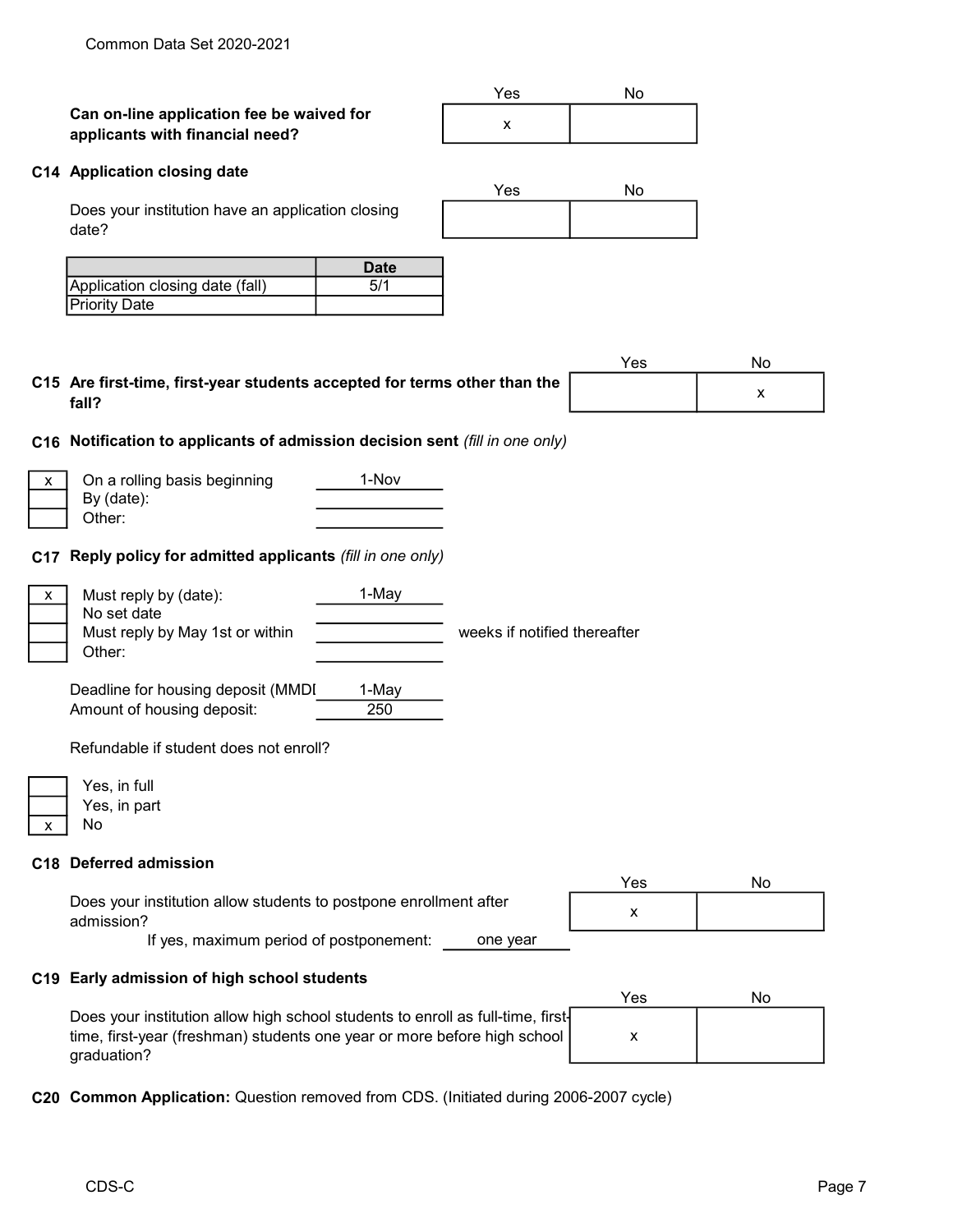|                                                                              | Yes | No |
|------------------------------------------------------------------------------|-----|----|
| Can on-line application fee be waived for<br>applicants with financial need? |     |    |

#### C14 Application closing date

|                                                   | Yes | Nc |
|---------------------------------------------------|-----|----|
| Does your institution have an application closing |     |    |
| date?                                             |     |    |

|                                 | Date |
|---------------------------------|------|
| Application closing date (fall) |      |
| <b>Priority Date</b>            |      |

|                                                                                    | Yes | No |
|------------------------------------------------------------------------------------|-----|----|
| C15 Are first-time, first-year students accepted for terms other than the<br>fall? |     |    |

#### C16 Notification to applicants of admission decision sent (fill in one only)

| On a rolling basis beginning | 1-Nov |
|------------------------------|-------|
| By (date):                   |       |
| Other:                       |       |

### C17 Reply policy for admitted applicants (fill in one only)

| X. | Must reply by (date):           | 1-Mav |                              |
|----|---------------------------------|-------|------------------------------|
|    | No set date                     |       |                              |
|    | Must reply by May 1st or within |       | weeks if notified thereafter |
|    | Other:                          |       |                              |

Deadline for housing deposit (MMDI 1-May Amount of housing deposit: 250

Refundable if student does not enroll?

| Yes, in full |
|--------------|
| Yes, in part |
| N٥           |

### C18 Deferred admission

|                                                                                 | Yes | Nο |
|---------------------------------------------------------------------------------|-----|----|
| Does your institution allow students to postpone enrollment after<br>admission? |     |    |
| If yes, maximum period of postponement:<br>one vear                             |     |    |

#### C19 Early admission of high school students

|                                                                                 | Yes | Nο |
|---------------------------------------------------------------------------------|-----|----|
| Does your institution allow high school students to enroll as full-time, first- |     |    |
| time, first-year (freshman) students one year or more before high school        | х   |    |
| . draduation?                                                                   |     |    |

C20 Common Application: Question removed from CDS. (Initiated during 2006-2007 cycle)